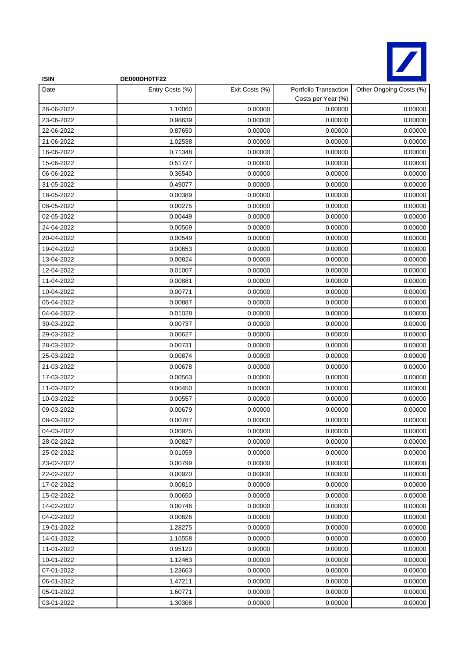

| <b>ISIN</b> | DE000DH0TF22    |                |                                             |                         |
|-------------|-----------------|----------------|---------------------------------------------|-------------------------|
| Date        | Entry Costs (%) | Exit Costs (%) | Portfolio Transaction<br>Costs per Year (%) | Other Ongoing Costs (%) |
| 26-06-2022  | 1.10060         | 0.00000        | 0.00000                                     | 0.00000                 |
| 23-06-2022  | 0.98639         | 0.00000        | 0.00000                                     | 0.00000                 |
| 22-06-2022  | 0.87650         | 0.00000        | 0.00000                                     | 0.00000                 |
| 21-06-2022  | 1.02538         | 0.00000        | 0.00000                                     | 0.00000                 |
| 16-06-2022  | 0.71348         | 0.00000        | 0.00000                                     | 0.00000                 |
| 15-06-2022  | 0.51727         | 0.00000        | 0.00000                                     | 0.00000                 |
| 06-06-2022  | 0.36540         | 0.00000        | 0.00000                                     | 0.00000                 |
| 31-05-2022  | 0.49077         | 0.00000        | 0.00000                                     | 0.00000                 |
| 18-05-2022  | 0.00389         | 0.00000        | 0.00000                                     | 0.00000                 |
| 08-05-2022  | 0.00275         | 0.00000        | 0.00000                                     | 0.00000                 |
| 02-05-2022  | 0.00449         | 0.00000        | 0.00000                                     | 0.00000                 |
| 24-04-2022  | 0.00569         | 0.00000        | 0.00000                                     | 0.00000                 |
| 20-04-2022  | 0.00549         | 0.00000        | 0.00000                                     | 0.00000                 |
| 19-04-2022  | 0.00653         | 0.00000        | 0.00000                                     | 0.00000                 |
| 13-04-2022  | 0.00824         | 0.00000        | 0.00000                                     | 0.00000                 |
| 12-04-2022  | 0.01007         | 0.00000        | 0.00000                                     | 0.00000                 |
| 11-04-2022  | 0.00881         | 0.00000        | 0.00000                                     | 0.00000                 |
| 10-04-2022  | 0.00771         | 0.00000        | 0.00000                                     | 0.00000                 |
| 05-04-2022  | 0.00887         | 0.00000        | 0.00000                                     | 0.00000                 |
| 04-04-2022  | 0.01028         | 0.00000        | 0.00000                                     | 0.00000                 |
| 30-03-2022  | 0.00737         | 0.00000        | 0.00000                                     | 0.00000                 |
| 29-03-2022  | 0.00627         | 0.00000        | 0.00000                                     | 0.00000                 |
| 28-03-2022  | 0.00731         | 0.00000        | 0.00000                                     | 0.00000                 |
| 25-03-2022  | 0.00874         | 0.00000        | 0.00000                                     | 0.00000                 |
| 21-03-2022  | 0.00678         | 0.00000        | 0.00000                                     | 0.00000                 |
| 17-03-2022  | 0.00563         | 0.00000        | 0.00000                                     | 0.00000                 |
| 11-03-2022  | 0.00450         | 0.00000        | 0.00000                                     | 0.00000                 |
| 10-03-2022  | 0.00557         | 0.00000        | 0.00000                                     | 0.00000                 |
| 09-03-2022  | 0.00679         | 0.00000        | 0.00000                                     | 0.00000                 |
| 08-03-2022  | 0.00787         | 0.00000        | 0.00000                                     | 0.00000                 |
| 04-03-2022  | 0.00925         | 0.00000        | 0.00000                                     | 0.00000                 |
| 28-02-2022  | 0.00827         | 0.00000        | 0.00000                                     | 0.00000                 |
| 25-02-2022  | 0.01059         | 0.00000        | 0.00000                                     | 0.00000                 |
| 23-02-2022  | 0.00799         | 0.00000        | 0.00000                                     | 0.00000                 |
| 22-02-2022  | 0.00920         | 0.00000        | 0.00000                                     | 0.00000                 |
| 17-02-2022  | 0.00810         | 0.00000        | 0.00000                                     | 0.00000                 |
| 15-02-2022  | 0.00650         | 0.00000        | 0.00000                                     | 0.00000                 |
| 14-02-2022  | 0.00746         | 0.00000        | 0.00000                                     | 0.00000                 |
| 04-02-2022  | 0.00626         | 0.00000        | 0.00000                                     | 0.00000                 |
| 19-01-2022  | 1.28275         | 0.00000        | 0.00000                                     | 0.00000                 |
| 14-01-2022  | 1.16558         | 0.00000        | 0.00000                                     | 0.00000                 |
| 11-01-2022  | 0.95120         | 0.00000        | 0.00000                                     | 0.00000                 |
| 10-01-2022  | 1.12463         | 0.00000        | 0.00000                                     | 0.00000                 |
| 07-01-2022  | 1.23663         | 0.00000        | 0.00000                                     | 0.00000                 |
| 06-01-2022  | 1.47211         | 0.00000        | 0.00000                                     | 0.00000                 |
| 05-01-2022  | 1.60771         | 0.00000        | 0.00000                                     | 0.00000                 |
| 03-01-2022  | 1.30308         | 0.00000        | 0.00000                                     | 0.00000                 |